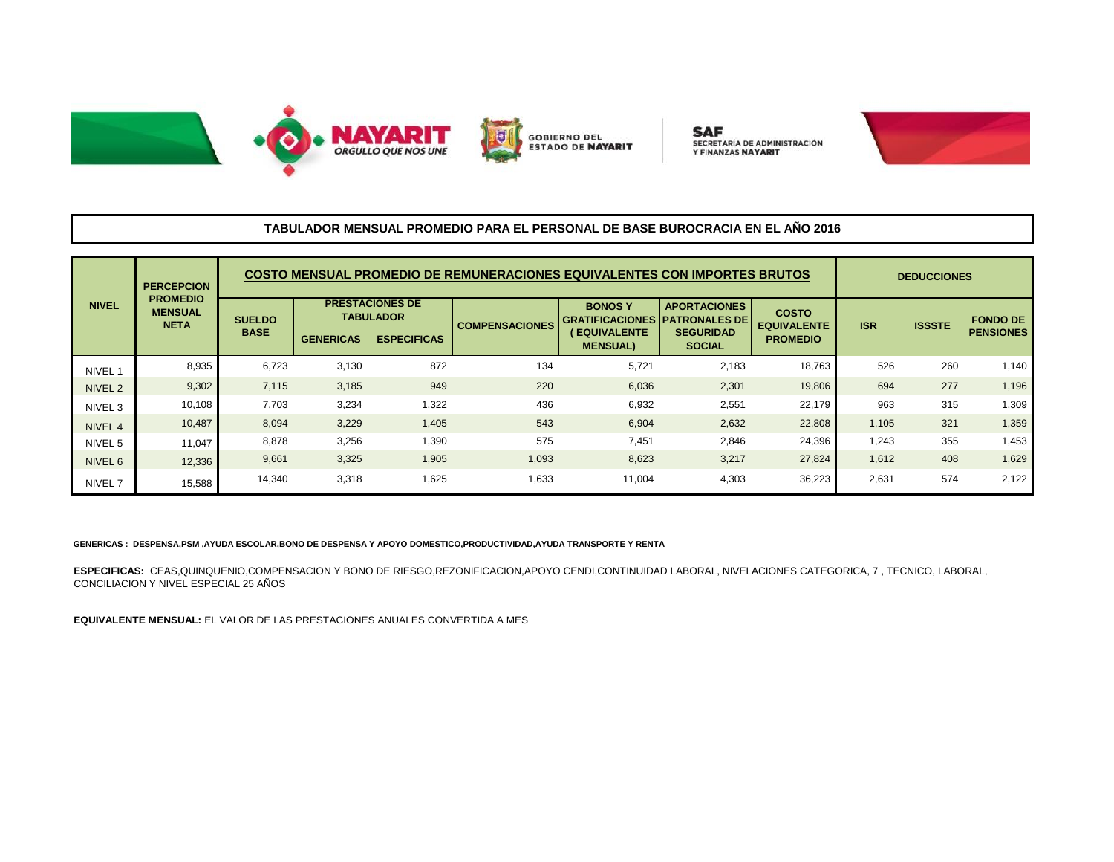



**SAF** SECRETARÍA DE ADMINISTRACIÓN **Y FINANZAS NAYARIT** 



## **TABULADOR MENSUAL PROMEDIO PARA EL PERSONAL DE BASE BUROCRACIA EN EL AÑO 2016**

| <b>NIVEL</b>       | <b>PERCEPCION</b><br><b>PROMEDIO</b><br><b>MENSUAL</b><br><b>NETA</b> | COSTO MENSUAL PROMEDIO DE REMUNERACIONES EQUIVALENTES CON IMPORTES BRUTOS |                                            |                    |                       |                                                       |                                   |                                       |            | <b>DEDUCCIONES</b> |                  |  |
|--------------------|-----------------------------------------------------------------------|---------------------------------------------------------------------------|--------------------------------------------|--------------------|-----------------------|-------------------------------------------------------|-----------------------------------|---------------------------------------|------------|--------------------|------------------|--|
|                    |                                                                       | <b>SUELDO</b><br><b>BASE</b>                                              | <b>PRESTACIONES DE</b><br><b>TABULADOR</b> |                    |                       | <b>BONOSY</b><br><b>GRATIFICACIONES PATRONALES DE</b> | <b>APORTACIONES</b>               | <b>COSTO</b>                          |            |                    | <b>FONDO DE</b>  |  |
|                    |                                                                       |                                                                           | <b>GENERICAS</b>                           | <b>ESPECIFICAS</b> | <b>COMPENSACIONES</b> | (EQUIVALENTE<br><b>MENSUAL)</b>                       | <b>SEGURIDAD</b><br><b>SOCIAL</b> | <b>EQUIVALENTE</b><br><b>PROMEDIO</b> | <b>ISR</b> | <b>ISSSTE</b>      | <b>PENSIONES</b> |  |
| NIVEL 1            | 8,935                                                                 | 6,723                                                                     | 3,130                                      | 872                | 134                   | 5.721                                                 | 2,183                             | 18,763                                | 526        | 260                | 1,140            |  |
| NIVEL <sub>2</sub> | 9,302                                                                 | 7,115                                                                     | 3,185                                      | 949                | 220                   | 6,036                                                 | 2,301                             | 19,806                                | 694        | 277                | 1,196            |  |
| NIVEL 3            | 10,108                                                                | 7,703                                                                     | 3,234                                      | 1,322              | 436                   | 6,932                                                 | 2,551                             | 22,179                                | 963        | 315                | 1,309            |  |
| NIVEL 4            | 10,487                                                                | 8,094                                                                     | 3,229                                      | 1,405              | 543                   | 6,904                                                 | 2,632                             | 22,808                                | 1,105      | 321                | 1,359            |  |
| NIVEL 5            | 11,047                                                                | 8,878                                                                     | 3,256                                      | 1,390              | 575                   | 7.451                                                 | 2,846                             | 24,396                                | 1,243      | 355                | 1,453            |  |
| NIVEL 6            | 12,336                                                                | 9,661                                                                     | 3,325                                      | 1,905              | 1,093                 | 8,623                                                 | 3,217                             | 27,824                                | 1,612      | 408                | 1,629            |  |
| NIVEL <sub>7</sub> | 15,588                                                                | 14,340                                                                    | 3,318                                      | 1,625              | 1,633                 | 11,004                                                | 4,303                             | 36,223                                | 2,631      | 574                | 2,122            |  |

## **GENERICAS : DESPENSA,PSM ,AYUDA ESCOLAR,BONO DE DESPENSA Y APOYO DOMESTICO,PRODUCTIVIDAD,AYUDA TRANSPORTE Y RENTA**

**ESPECIFICAS:** CEAS,QUINQUENIO,COMPENSACION Y BONO DE RIESGO,REZONIFICACION,APOYO CENDI,CONTINUIDAD LABORAL, NIVELACIONES CATEGORICA, 7 , TECNICO, LABORAL, CONCILIACION Y NIVEL ESPECIAL 25 AÑOS

**EQUIVALENTE MENSUAL:** EL VALOR DE LAS PRESTACIONES ANUALES CONVERTIDA A MES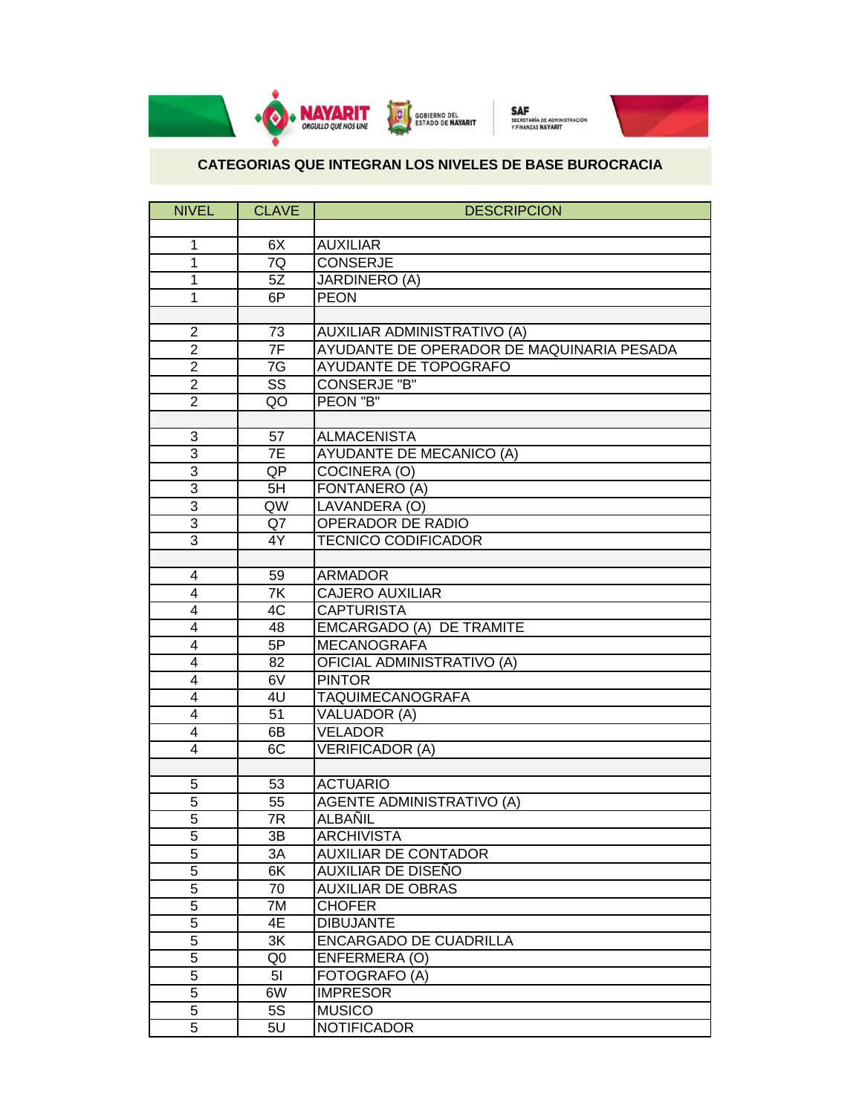

## **CATEGORIAS QUE INTEGRAN LOS NIVELES DE BASE BUROCRACIA**

| <b>NIVEL</b>   | <b>CLAVE</b>           | <b>DESCRIPCION</b>                        |
|----------------|------------------------|-------------------------------------------|
|                |                        |                                           |
| 1              | 6X                     | <b>AUXILIAR</b>                           |
| 1              | 7Q                     | <b>CONSERJE</b>                           |
| 1              | 5Z                     | <b>JARDINERO (A)</b>                      |
| 1              | 6P                     | <b>PEON</b>                               |
|                |                        |                                           |
| $\overline{2}$ | 73                     | AUXILIAR ADMINISTRATIVO (A)               |
| $\overline{2}$ | 7F                     | AYUDANTE DE OPERADOR DE MAQUINARIA PESADA |
| $\overline{2}$ | 7 <sub>G</sub>         | AYUDANTE DE TOPOGRAFO                     |
| $\overline{2}$ | $\overline{\text{ss}}$ | <b>CONSERJE "B"</b>                       |
| $\overline{2}$ | QO                     | PEON "B"                                  |
|                |                        |                                           |
| 3              | 57                     | <b>ALMACENISTA</b>                        |
| $\overline{3}$ | 7E                     | <b>AYUDANTE DE MECANICO (A)</b>           |
| $\overline{3}$ | QP                     | COCINERA (O)                              |
| $\overline{3}$ | 5H                     | FONTANERO (A)                             |
| $\overline{3}$ | QW                     | LAVANDERA (O)                             |
| $\overline{3}$ | Q7                     | <b>OPERADOR DE RADIO</b>                  |
| $\overline{3}$ | 4Y                     | <b>TECNICO CODIFICADOR</b>                |
|                |                        |                                           |
| 4              | 59                     | <b>ARMADOR</b>                            |
| $\overline{4}$ | 7K                     | <b>CAJERO AUXILIAR</b>                    |
| 4              | 4C                     | <b>CAPTURISTA</b>                         |
| 4              | 48                     | EMCARGADO (A) DE TRAMITE                  |
| 4              | 5P                     | <b>MECANOGRAFA</b>                        |
| $\overline{4}$ | $\overline{82}$        | OFICIAL ADMINISTRATIVO (A)                |
| 4              | 6V                     | <b>PINTOR</b>                             |
| 4              | 4 <sub>U</sub>         | TAQUIMECANOGRAFA                          |
| 4              | 51                     | VALUADOR (A)                              |
| $\overline{4}$ | 6B                     | <b>VELADOR</b>                            |
| 4              | 6C                     | <b>VERIFICADOR (A)</b>                    |
|                |                        |                                           |
| 5              | 53                     | <b>ACTUARIO</b>                           |
| $\overline{5}$ | 55                     | <b>AGENTE ADMINISTRATIVO (A)</b>          |
| $\overline{5}$ | 7R                     | ALBAÑIL                                   |
| 5              | 3B                     | <b>ARCHIVISTA</b>                         |
| $\overline{5}$ | 3A                     | <b>AUXILIAR DE CONTADOR</b>               |
| $\overline{5}$ | 6K                     | AUXILIAR DE DISEÑO                        |
| $\overline{5}$ | 70                     | <b>AUXILIAR DE OBRAS</b>                  |
| $\overline{5}$ | 7M                     | <b>CHOFER</b>                             |
| 5              | 4E                     | <b>DIBUJANTE</b>                          |
| $\overline{5}$ | 3K                     | <b>ENCARGADO DE CUADRILLA</b>             |
| $\overline{5}$ | Q <sub>0</sub>         | ENFERMERA (O)                             |
| $\overline{5}$ | 5 <sub>l</sub>         | FOTOGRAFO (A)                             |
| $\overline{5}$ | 6W                     | <b>IMPRESOR</b>                           |
| $\overline{5}$ | $5\overline{S}$        | <b>MUSICO</b>                             |
| $\overline{5}$ | 5U                     | <b>NOTIFICADOR</b>                        |
|                |                        |                                           |